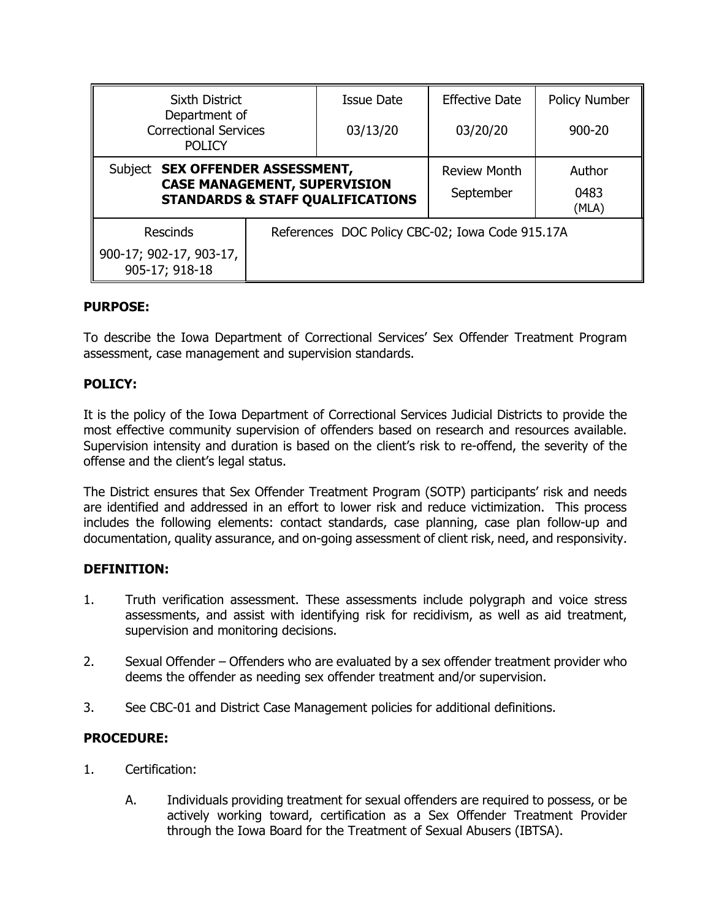| Sixth District<br>Department of<br><b>Correctional Services</b><br><b>POLICY</b>                                       |                                                 | <b>Issue Date</b>                | <b>Effective Date</b>   | Policy Number |
|------------------------------------------------------------------------------------------------------------------------|-------------------------------------------------|----------------------------------|-------------------------|---------------|
|                                                                                                                        |                                                 | 03/13/20                         | 03/20/20                | $900 - 20$    |
| Subject SEX OFFENDER ASSESSMENT,<br><b>CASE MANAGEMENT, SUPERVISION</b><br><b>STANDARDS &amp; STAFF QUALIFICATIONS</b> |                                                 | <b>Review Month</b><br>September | Author<br>0483<br>(MLA) |               |
| <b>Rescinds</b>                                                                                                        | References DOC Policy CBC-02; Iowa Code 915.17A |                                  |                         |               |
| 900-17; 902-17, 903-17,<br>905-17; 918-18                                                                              |                                                 |                                  |                         |               |

## **PURPOSE:**

To describe the Iowa Department of Correctional Services' Sex Offender Treatment Program assessment, case management and supervision standards.

## **POLICY:**

It is the policy of the Iowa Department of Correctional Services Judicial Districts to provide the most effective community supervision of offenders based on research and resources available. Supervision intensity and duration is based on the client's risk to re-offend, the severity of the offense and the client's legal status.

The District ensures that Sex Offender Treatment Program (SOTP) participants' risk and needs are identified and addressed in an effort to lower risk and reduce victimization. This process includes the following elements: contact standards, case planning, case plan follow-up and documentation, quality assurance, and on-going assessment of client risk, need, and responsivity.

### **DEFINITION:**

- 1. Truth verification assessment. These assessments include polygraph and voice stress assessments, and assist with identifying risk for recidivism, as well as aid treatment, supervision and monitoring decisions.
- 2. Sexual Offender Offenders who are evaluated by a sex offender treatment provider who deems the offender as needing sex offender treatment and/or supervision.
- 3. See CBC-01 and District Case Management policies for additional definitions.

# **PROCEDURE:**

- 1. Certification:
	- A. Individuals providing treatment for sexual offenders are required to possess, or be actively working toward, certification as a Sex Offender Treatment Provider through the Iowa Board for the Treatment of Sexual Abusers (IBTSA).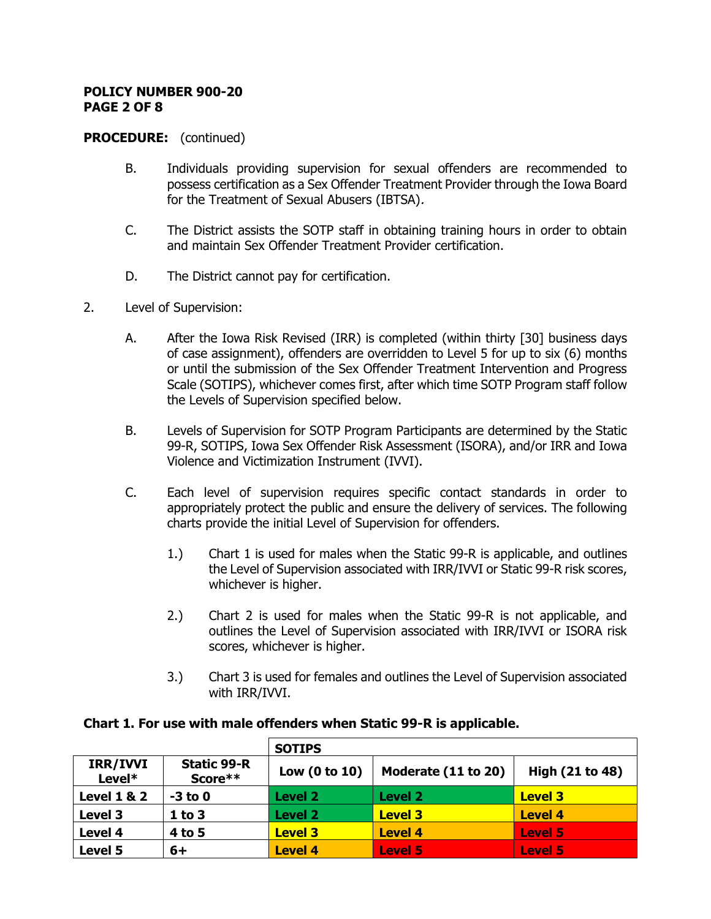#### **POLICY NUMBER 900-20 PAGE 2 OF 8**

### **PROCEDURE:** (continued)

- B. Individuals providing supervision for sexual offenders are recommended to possess certification as a Sex Offender Treatment Provider through the Iowa Board for the Treatment of Sexual Abusers (IBTSA).
- C. The District assists the SOTP staff in obtaining training hours in order to obtain and maintain Sex Offender Treatment Provider certification.
- D. The District cannot pay for certification.
- 2. Level of Supervision:
	- A. After the Iowa Risk Revised (IRR) is completed (within thirty [30] business days of case assignment), offenders are overridden to Level 5 for up to six (6) months or until the submission of the Sex Offender Treatment Intervention and Progress Scale (SOTIPS), whichever comes first, after which time SOTP Program staff follow the Levels of Supervision specified below.
	- B. Levels of Supervision for SOTP Program Participants are determined by the Static 99-R, SOTIPS, Iowa Sex Offender Risk Assessment (ISORA), and/or IRR and Iowa Violence and Victimization Instrument (IVVI).
	- C. Each level of supervision requires specific contact standards in order to appropriately protect the public and ensure the delivery of services. The following charts provide the initial Level of Supervision for offenders.
		- 1.) Chart 1 is used for males when the Static 99-R is applicable, and outlines the Level of Supervision associated with IRR/IVVI or Static 99-R risk scores, whichever is higher.
		- 2.) Chart 2 is used for males when the Static 99-R is not applicable, and outlines the Level of Supervision associated with IRR/IVVI or ISORA risk scores, whichever is higher.
		- 3.) Chart 3 is used for females and outlines the Level of Supervision associated with IRR/IVVI.

|                        |                               | <b>SOTIPS</b>   |                     |                 |
|------------------------|-------------------------------|-----------------|---------------------|-----------------|
| IRR/IVVI<br>Level*     | <b>Static 99-R</b><br>Score** | Low $(0 to 10)$ | Moderate (11 to 20) | High (21 to 48) |
| <b>Level 1 &amp; 2</b> | $-3$ to 0                     | Level 2         | Level 2             | <b>Level 3</b>  |
| Level 3                | $1$ to $3$                    | <b>Level 2</b>  | <b>Level 3</b>      | <b>Level 4</b>  |
| Level 4                | 4 to 5                        | <b>Level 3</b>  | <b>Level 4</b>      | <b>Level 5</b>  |
| <b>Level 5</b>         | 6+                            | <b>Level 4</b>  | <b>Level 5</b>      | <b>Level 5</b>  |

### **Chart 1. For use with male offenders when Static 99-R is applicable.**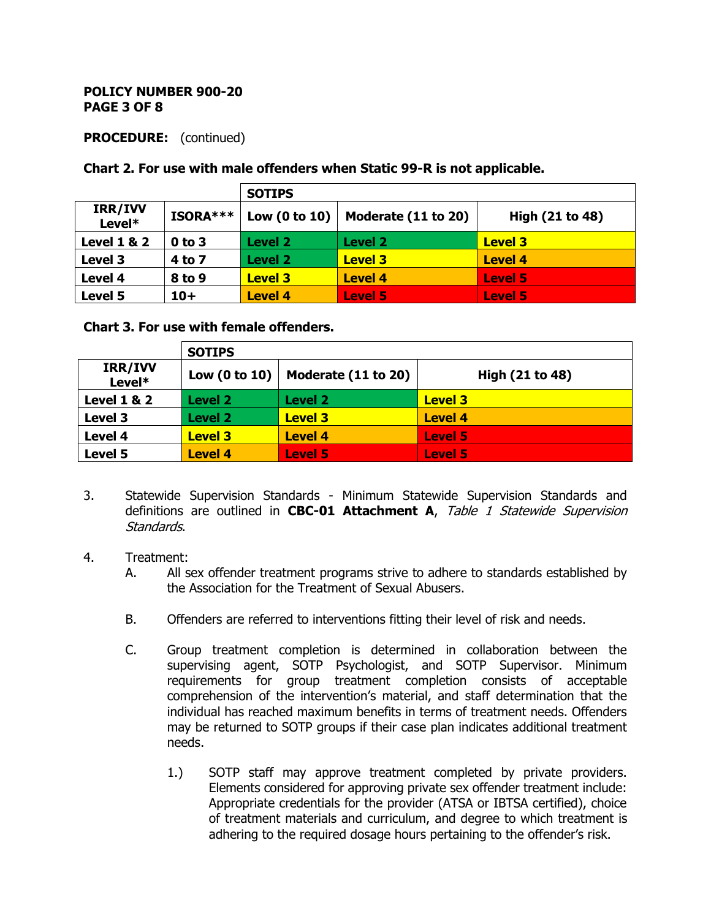#### **POLICY NUMBER 900-20 PAGE 3 OF 8**

## **PROCEDURE:** (continued)

### **Chart 2. For use with male offenders when Static 99-R is not applicable.**

|                        |            | <b>SOTIPS</b>   |                     |                 |
|------------------------|------------|-----------------|---------------------|-----------------|
| IRR/IVV<br>Level*      | ISORA***   | Low $(0 to 10)$ | Moderate (11 to 20) | High (21 to 48) |
| <b>Level 1 &amp; 2</b> | $0$ to $3$ | Level 2         | Level <sub>2</sub>  | <b>Level 3</b>  |
| Level 3                | 4 to 7     | Level 2         | <b>Level 3</b>      | <b>Level 4</b>  |
| Level 4                | 8 to 9     | <b>Level 3</b>  | <b>Level 4</b>      | <b>Level 5</b>  |
| Level 5                | $10+$      | <b>Level 4</b>  | <b>Level 5</b>      | <b>Level 5</b>  |

### **Chart 3. For use with female offenders.**

|                        | <b>SOTIPS</b>   |                     |                 |
|------------------------|-----------------|---------------------|-----------------|
| IRR/IVV<br>Level*      | Low $(0 to 10)$ | Moderate (11 to 20) | High (21 to 48) |
| <b>Level 1 &amp; 2</b> | Level 2         | Level 2             | <b>Level 3</b>  |
| Level 3                | <b>Level 2</b>  | <b>Level 3</b>      | <b>Level 4</b>  |
| Level 4                | <b>Level 3</b>  | <b>Level 4</b>      | <b>Level 5</b>  |
| Level 5                | <b>Level 4</b>  | <b>Level 5</b>      | <b>Level 5</b>  |

- 3. Statewide Supervision Standards Minimum Statewide Supervision Standards and definitions are outlined in **CBC-01 Attachment A**, Table 1 Statewide Supervision Standards.
- 4. Treatment:
	- A. All sex offender treatment programs strive to adhere to standards established by the Association for the Treatment of Sexual Abusers.
	- B. Offenders are referred to interventions fitting their level of risk and needs.
	- C. Group treatment completion is determined in collaboration between the supervising agent, SOTP Psychologist, and SOTP Supervisor. Minimum requirements for group treatment completion consists of acceptable comprehension of the intervention's material, and staff determination that the individual has reached maximum benefits in terms of treatment needs. Offenders may be returned to SOTP groups if their case plan indicates additional treatment needs.
		- 1.) SOTP staff may approve treatment completed by private providers. Elements considered for approving private sex offender treatment include: Appropriate credentials for the provider (ATSA or IBTSA certified), choice of treatment materials and curriculum, and degree to which treatment is adhering to the required dosage hours pertaining to the offender's risk.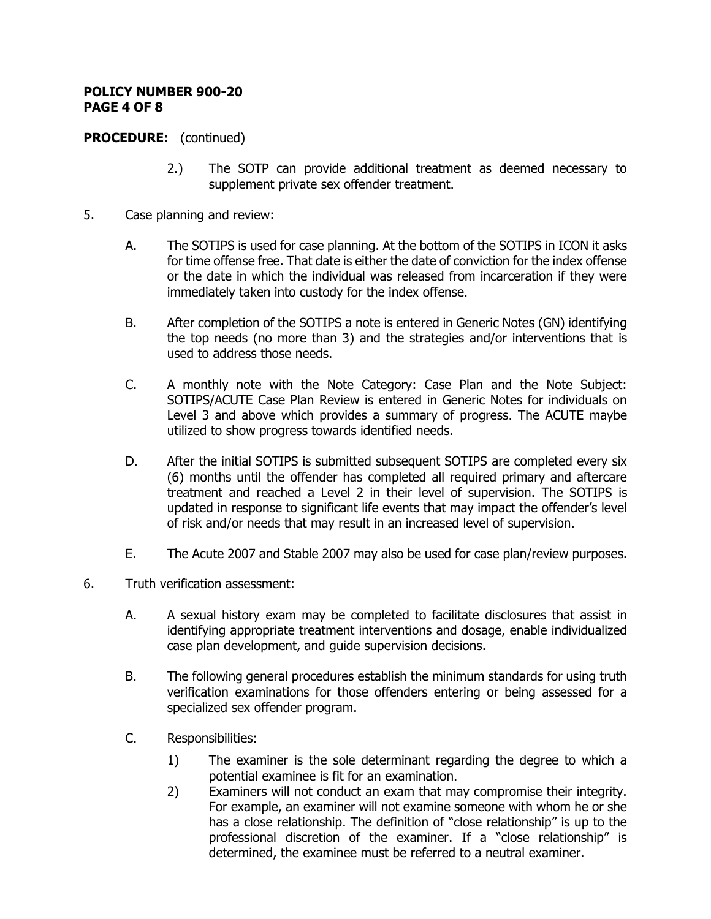#### **POLICY NUMBER 900-20 PAGE 4 OF 8**

## **PROCEDURE:** (continued)

- 2.) The SOTP can provide additional treatment as deemed necessary to supplement private sex offender treatment.
- 5. Case planning and review:
	- A. The SOTIPS is used for case planning. At the bottom of the SOTIPS in ICON it asks for time offense free. That date is either the date of conviction for the index offense or the date in which the individual was released from incarceration if they were immediately taken into custody for the index offense.
	- B. After completion of the SOTIPS a note is entered in Generic Notes (GN) identifying the top needs (no more than 3) and the strategies and/or interventions that is used to address those needs.
	- C. A monthly note with the Note Category: Case Plan and the Note Subject: SOTIPS/ACUTE Case Plan Review is entered in Generic Notes for individuals on Level 3 and above which provides a summary of progress. The ACUTE maybe utilized to show progress towards identified needs.
	- D. After the initial SOTIPS is submitted subsequent SOTIPS are completed every six (6) months until the offender has completed all required primary and aftercare treatment and reached a Level 2 in their level of supervision. The SOTIPS is updated in response to significant life events that may impact the offender's level of risk and/or needs that may result in an increased level of supervision.
	- E. The Acute 2007 and Stable 2007 may also be used for case plan/review purposes.
- 6. Truth verification assessment:
	- A. A sexual history exam may be completed to facilitate disclosures that assist in identifying appropriate treatment interventions and dosage, enable individualized case plan development, and guide supervision decisions.
	- B. The following general procedures establish the minimum standards for using truth verification examinations for those offenders entering or being assessed for a specialized sex offender program.
	- C. Responsibilities:
		- 1) The examiner is the sole determinant regarding the degree to which a potential examinee is fit for an examination.
		- 2) Examiners will not conduct an exam that may compromise their integrity. For example, an examiner will not examine someone with whom he or she has a close relationship. The definition of "close relationship" is up to the professional discretion of the examiner. If a "close relationship" is determined, the examinee must be referred to a neutral examiner.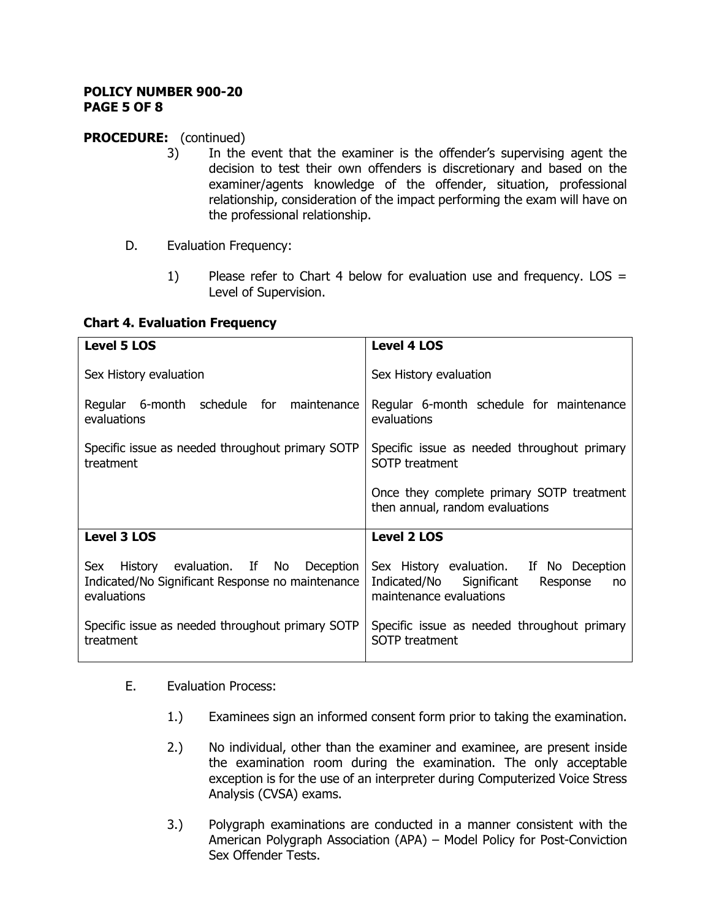#### **POLICY NUMBER 900-20 PAGE 5 OF 8**

# **PROCEDURE:** (continued)

- 3) In the event that the examiner is the offender's supervising agent the decision to test their own offenders is discretionary and based on the examiner/agents knowledge of the offender, situation, professional relationship, consideration of the impact performing the exam will have on the professional relationship.
- D. Evaluation Frequency:
	- 1) Please refer to Chart 4 below for evaluation use and frequency. LOS  $=$ Level of Supervision.

## **Chart 4. Evaluation Frequency**

| <b>Level 5 LOS</b>                                                                                            | <b>Level 4 LOS</b>                                                                                               |
|---------------------------------------------------------------------------------------------------------------|------------------------------------------------------------------------------------------------------------------|
| Sex History evaluation                                                                                        | Sex History evaluation                                                                                           |
| Regular 6-month schedule for maintenance<br>evaluations                                                       | Regular 6-month schedule for maintenance<br>evaluations                                                          |
| Specific issue as needed throughout primary SOTP<br>treatment                                                 | Specific issue as needed throughout primary<br><b>SOTP</b> treatment                                             |
|                                                                                                               | Once they complete primary SOTP treatment<br>then annual, random evaluations                                     |
| <b>Level 3 LOS</b>                                                                                            | <b>Level 2 LOS</b>                                                                                               |
| History evaluation. If No Deception<br>Sex<br>Indicated/No Significant Response no maintenance<br>evaluations | Sex History evaluation. If No Deception<br>Indicated/No Significant<br>Response<br>no<br>maintenance evaluations |
| Specific issue as needed throughout primary SOTP<br>treatment                                                 | Specific issue as needed throughout primary<br><b>SOTP</b> treatment                                             |

- E. Evaluation Process:
	- 1.) Examinees sign an informed consent form prior to taking the examination.
	- 2.) No individual, other than the examiner and examinee, are present inside the examination room during the examination. The only acceptable exception is for the use of an interpreter during Computerized Voice Stress Analysis (CVSA) exams.
	- 3.) Polygraph examinations are conducted in a manner consistent with the American Polygraph Association (APA) – Model Policy for Post-Conviction Sex Offender Tests.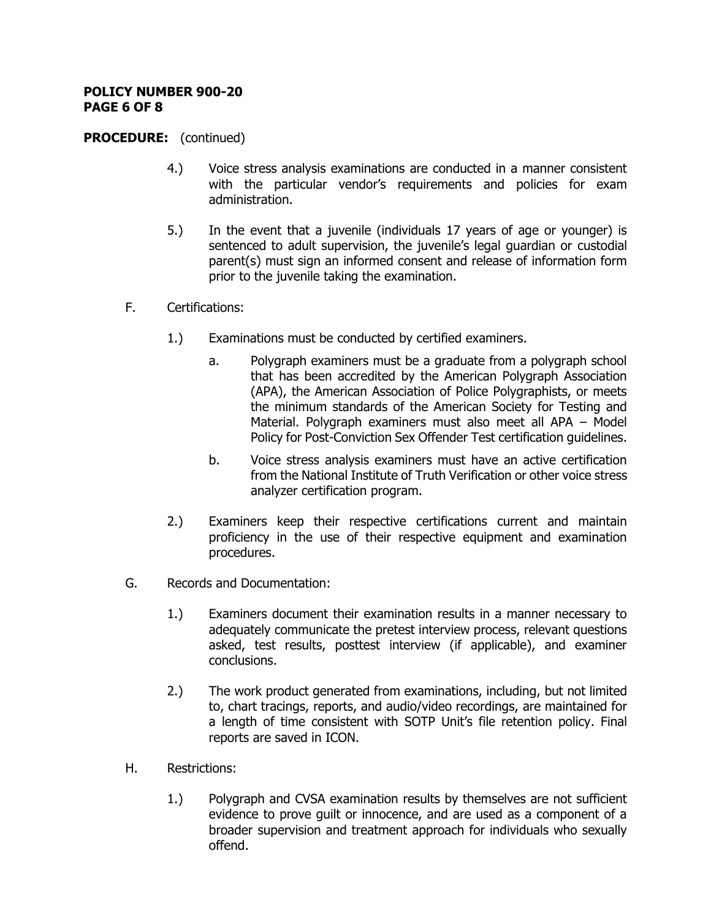#### **POLICY NUMBER 900-20 PAGE 6 OF 8**

### **PROCEDURE:** (continued)

- 4.) Voice stress analysis examinations are conducted in a manner consistent with the particular vendor's requirements and policies for exam administration.
- 5.) In the event that a juvenile (individuals 17 years of age or younger) is sentenced to adult supervision, the juvenile's legal guardian or custodial parent(s) must sign an informed consent and release of information form prior to the juvenile taking the examination.
- F. Certifications:
	- 1.) Examinations must be conducted by certified examiners.
		- a. Polygraph examiners must be a graduate from a polygraph school that has been accredited by the American Polygraph Association (APA), the American Association of Police Polygraphists, or meets the minimum standards of the American Society for Testing and Material. Polygraph examiners must also meet all APA – Model Policy for Post-Conviction Sex Offender Test certification guidelines.
		- b. Voice stress analysis examiners must have an active certification from the National Institute of Truth Verification or other voice stress analyzer certification program.
	- 2.) Examiners keep their respective certifications current and maintain proficiency in the use of their respective equipment and examination procedures.
- G. Records and Documentation:
	- 1.) Examiners document their examination results in a manner necessary to adequately communicate the pretest interview process, relevant questions asked, test results, posttest interview (if applicable), and examiner conclusions.
	- 2.) The work product generated from examinations, including, but not limited to, chart tracings, reports, and audio/video recordings, are maintained for a length of time consistent with SOTP Unit's file retention policy. Final reports are saved in ICON.
- H. Restrictions:
	- 1.) Polygraph and CVSA examination results by themselves are not sufficient evidence to prove guilt or innocence, and are used as a component of a broader supervision and treatment approach for individuals who sexually offend.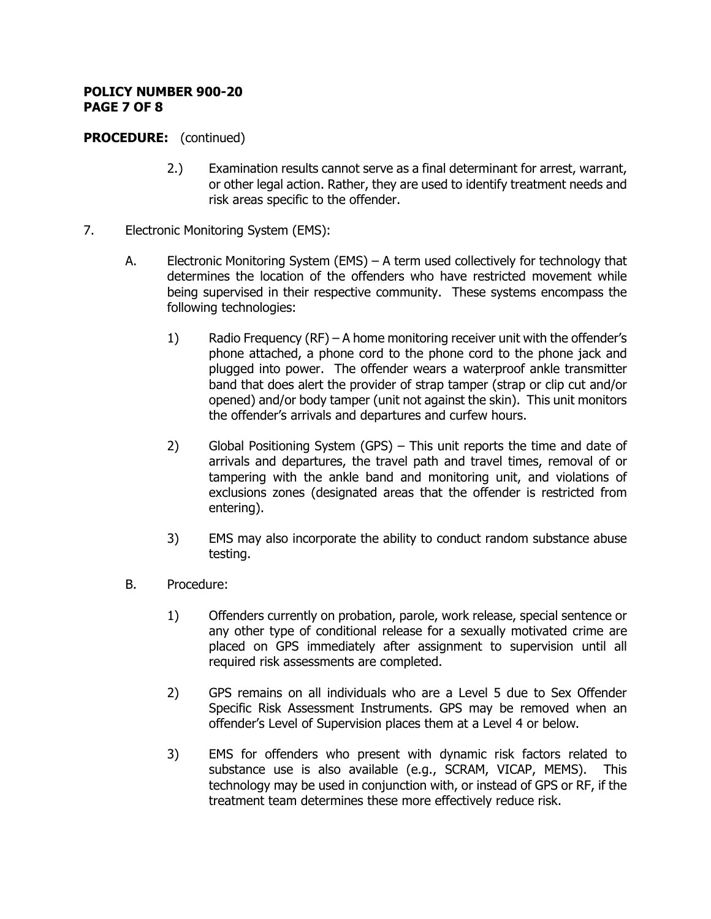#### **POLICY NUMBER 900-20 PAGE 7 OF 8**

## **PROCEDURE:** (continued)

- 2.) Examination results cannot serve as a final determinant for arrest, warrant, or other legal action. Rather, they are used to identify treatment needs and risk areas specific to the offender.
- 7. Electronic Monitoring System (EMS):
	- A. Electronic Monitoring System (EMS) A term used collectively for technology that determines the location of the offenders who have restricted movement while being supervised in their respective community. These systems encompass the following technologies:
		- 1) Radio Frequency (RF) A home monitoring receiver unit with the offender's phone attached, a phone cord to the phone cord to the phone jack and plugged into power. The offender wears a waterproof ankle transmitter band that does alert the provider of strap tamper (strap or clip cut and/or opened) and/or body tamper (unit not against the skin). This unit monitors the offender's arrivals and departures and curfew hours.
		- 2) Global Positioning System (GPS) This unit reports the time and date of arrivals and departures, the travel path and travel times, removal of or tampering with the ankle band and monitoring unit, and violations of exclusions zones (designated areas that the offender is restricted from entering).
		- 3) EMS may also incorporate the ability to conduct random substance abuse testing.
	- B. Procedure:
		- 1) Offenders currently on probation, parole, work release, special sentence or any other type of conditional release for a sexually motivated crime are placed on GPS immediately after assignment to supervision until all required risk assessments are completed.
		- 2) GPS remains on all individuals who are a Level 5 due to Sex Offender Specific Risk Assessment Instruments. GPS may be removed when an offender's Level of Supervision places them at a Level 4 or below.
		- 3) EMS for offenders who present with dynamic risk factors related to substance use is also available (e.g., SCRAM, VICAP, MEMS). This technology may be used in conjunction with, or instead of GPS or RF, if the treatment team determines these more effectively reduce risk.